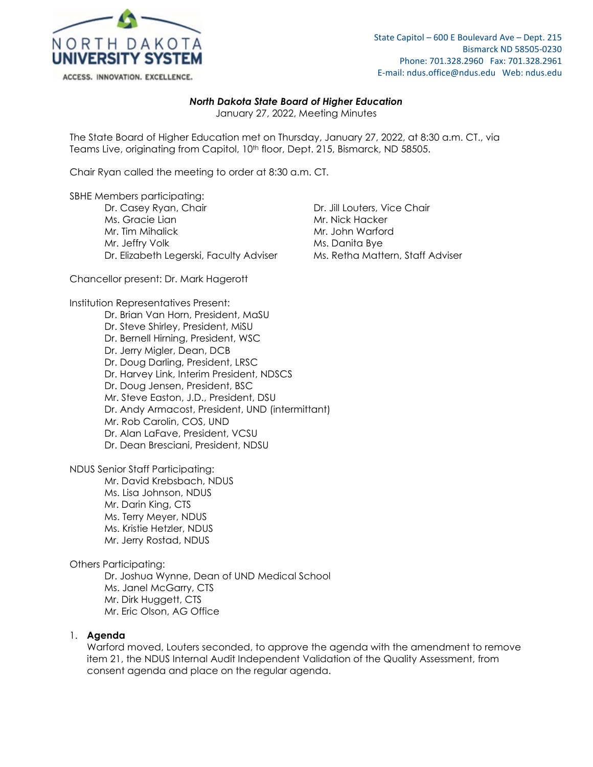

State Capitol – 600 E Boulevard Ave – Dept. 215 Bismarck ND 58505-0230 Phone: 701.328.2960 Fax: 701.328.2961 E-mail: ndus.office@ndus.edu Web: ndus.edu

## *North Dakota State Board of Higher Education*

January 27, 2022, Meeting Minutes

The State Board of Higher Education met on Thursday, January 27, 2022, at 8:30 a.m. CT., via Teams Live, originating from Capitol, 10<sup>th</sup> floor, Dept. 215, Bismarck, ND 58505.

Chair Ryan called the meeting to order at 8:30 a.m. CT.

SBHE Members participating:

Dr. Casey Ryan, Chair **Dr. Jill Louters, Vice Chair** Dr. Jill Louters, Vice Chair Ms. Gracie Lian Mr. Nick Hacker Mr. Tim Mihalick Mr. John Warford Mr. Jeffry Volk Ms. Danita Bye Dr. Elizabeth Legerski, Faculty Adviser Ms. Retha Mattern, Staff Adviser

Chancellor present: Dr. Mark Hagerott

Institution Representatives Present:

Dr. Brian Van Horn, President, MaSU Dr. Steve Shirley, President, MiSU Dr. Bernell Hirning, President, WSC Dr. Jerry Migler, Dean, DCB Dr. Doug Darling, President, LRSC Dr. Harvey Link, Interim President, NDSCS Dr. Doug Jensen, President, BSC Mr. Steve Easton, J.D., President, DSU Dr. Andy Armacost, President, UND (intermittant) Mr. Rob Carolin, COS, UND Dr. Alan LaFave, President, VCSU Dr. Dean Bresciani, President, NDSU

NDUS Senior Staff Participating:

Mr. David Krebsbach, NDUS Ms. Lisa Johnson, NDUS Mr. Darin King, CTS Ms. Terry Meyer, NDUS Ms. Kristie Hetzler, NDUS Mr. Jerry Rostad, NDUS

Others Participating:

Dr. Joshua Wynne, Dean of UND Medical School Ms. Janel McGarry, CTS Mr. Dirk Huggett, CTS Mr. Eric Olson, AG Office

#### 1. **Agenda**

Warford moved, Louters seconded, to approve the agenda with the amendment to remove item 21, the NDUS Internal Audit Independent Validation of the Quality Assessment, from consent agenda and place on the regular agenda.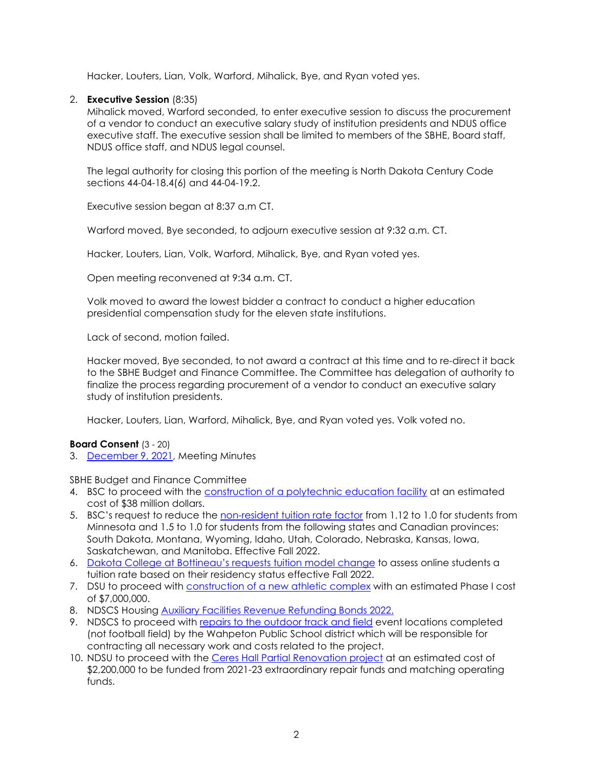Hacker, Louters, Lian, Volk, Warford, Mihalick, Bye, and Ryan voted yes.

# 2. **Executive Session** (8:35)

Mihalick moved, Warford seconded, to enter executive session to discuss the procurement of a vendor to conduct an executive salary study of institution presidents and NDUS office executive staff. The executive session shall be limited to members of the SBHE, Board staff, NDUS office staff, and NDUS legal counsel.

The legal authority for closing this portion of the meeting is North Dakota Century Code sections 44-04-18.4(6) and 44-04-19.2.

Executive session began at 8:37 a.m CT.

Warford moved, Bye seconded, to adjourn executive session at 9:32 a.m. CT.

Hacker, Louters, Lian, Volk, Warford, Mihalick, Bye, and Ryan voted yes.

Open meeting reconvened at 9:34 a.m. CT.

Volk moved to award the lowest bidder a contract to conduct a higher education presidential compensation study for the eleven state institutions.

Lack of second, motion failed.

Hacker moved, Bye seconded, to not award a contract at this time and to re-direct it back to the SBHE Budget and Finance Committee. The Committee has delegation of authority to finalize the process regarding procurement of a vendor to conduct an executive salary study of institution presidents.

Hacker, Louters, Lian, Warford, Mihalick, Bye, and Ryan voted yes. Volk voted no.

## **Board Consent** (3 - 20)

3. [December 9, 2021,](https://ndusbpos.sharepoint.com/:w:/s/NDUSSBHE/EW-JRCIT7vFMqtQba77xG0IBa3-GiAyP9a1SlG-dtxEFNA?e=4tXNBF) Meeting Minutes

SBHE Budget and Finance Committee

- 4. BSC to proceed with the [construction of a polytechnic education facility](https://ndusbpos.sharepoint.com/:b:/s/NDUSSBHE/EfbfhGeVuyBEsPEfkVBlWjABRZRdL6vLBpw-WT_qIwf4nA?e=fmLJgK) at an estimated cost of \$38 million dollars.
- 5. BSC's request to reduce the [non-resident tuition rate factor](https://ndusbpos.sharepoint.com/:b:/s/NDUSSBHE/EcaQqFc_NNBIlf6g3G8U7SQBnFu-WPquARMM-vYWw0yLZg?e=fiTTxk) from 1.12 to 1.0 for students from Minnesota and 1.5 to 1.0 for students from the following states and Canadian provinces: South Dakota, Montana, Wyoming, Idaho, Utah, Colorado, Nebraska, Kansas, Iowa, Saskatchewan, and Manitoba. Effective Fall 2022.
- 6. [Dakota College at Bottineau's requests tuition model change](https://ndusbpos.sharepoint.com/:b:/s/NDUSSBHE/EfH0A5i3buZFnozcB59j3DgB92r4AUxmTo1QTMx1SPv5-A?e=9vswfk) to assess online students a tuition rate based on their residency status effective Fall 2022.
- 7. DSU to proceed with [construction of a new athletic complex](https://ndusbpos.sharepoint.com/:b:/s/NDUSSBHE/EeMGSNGVw4NGjQbpwOEPZM8BEC7LHsmlBVio_jguhTdOaA?e=SUURzg) with an estimated Phase I cost of \$7,000,000.
- 8. NDSCS Housing [Auxiliary Facilities Revenue Refunding Bonds 2022.](https://ndusbpos.sharepoint.com/:b:/s/NDUSSBHE/EQ4jB8JUFDpHjlerbJmDEh8B1OjDtxALfvPOZYEosUn4hQ?e=Ew9tbt)
- 9. NDSCS to proceed with [repairs to the outdoor track and field](https://ndusbpos.sharepoint.com/:b:/s/NDUSSBHE/ES0BMMCOCstAm6F5wFE7EiIBsVqVjIzPDAo5Pe-9dgwrYQ?e=I2qZUH) event locations completed (not football field) by the Wahpeton Public School district which will be responsible for contracting all necessary work and costs related to the project.
- 10. NDSU to proceed with the [Ceres Hall Partial Renovation project](https://ndusbpos.sharepoint.com/:b:/s/NDUSSBHE/EZb1n7klaVpCs8GjjCM9gmwB3YUQUM9111efoFXZKmqWBQ?e=9WwzwH) at an estimated cost of \$2,200,000 to be funded from 2021-23 extraordinary repair funds and matching operating funds.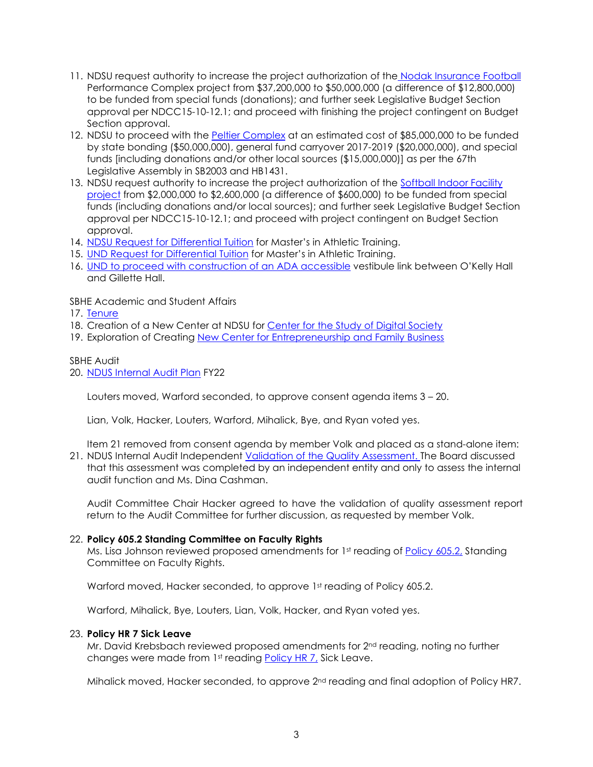- 11. NDSU request authority to increase the project authorization of the [Nodak Insurance Football](https://ndusbpos.sharepoint.com/:b:/s/NDUSSBHE/ES1Mw_8b199Kjpb5wl3znGsBuwPwmihBnMKykigxjdQqXw?e=pNAfuY) Performance Complex project from \$37,200,000 to \$50,000,000 (a difference of \$12,800,000) to be funded from special funds (donations); and further seek Legislative Budget Section approval per NDCC15-10-12.1; and proceed with finishing the project contingent on Budget Section approval.
- 12. NDSU to proceed with the [Peltier Complex](https://ndusbpos.sharepoint.com/:b:/s/NDUSSBHE/EaZV_afPgU1IqINMZwZhRZoB22HsOV1qp4qxFhb59mla9Q?e=lE33wm) at an estimated cost of \$85,000,000 to be funded by state bonding (\$50,000,000), general fund carryover 2017-2019 (\$20,000,000), and special funds [including donations and/or other local sources (\$15,000,000)] as per the 67th Legislative Assembly in SB2003 and HB1431.
- 13. NDSU request authority to increase the project authorization of the [Softball Indoor Facility](https://ndusbpos.sharepoint.com/:b:/s/NDUSSBHE/EWqO5_AG5JpEhd7pMG85QscBdIrgi6QNJC-LguiA6ZXGIA?e=somgMI)  [project](https://ndusbpos.sharepoint.com/:b:/s/NDUSSBHE/EWqO5_AG5JpEhd7pMG85QscBdIrgi6QNJC-LguiA6ZXGIA?e=somgMI) from \$2,000,000 to \$2,600,000 (a difference of \$600,000) to be funded from special funds (including donations and/or local sources); and further seek Legislative Budget Section approval per NDCC15-10-12.1; and proceed with project contingent on Budget Section approval.
- 14. [NDSU Request for Differential Tuition](https://ndusbpos.sharepoint.com/:b:/s/NDUSSBHE/EdBjWH5utyxAsYRoWLDOCTIB-6iqVvE3WieUbOcqRZ0EDQ?e=e5mdFb) for Master's in Athletic Training.
- 15. [UND Request for Differential Tuition](https://ndusbpos.sharepoint.com/:b:/s/NDUSSBHE/EdvFJ-neUflHsxmuKD2n6OsBGhPewbKU5KPE5HVS98rKsA?e=LAbNxp) for Master's in Athletic Training.
- 16. [UND to proceed with construction of an ADA accessible](https://ndusbpos.sharepoint.com/:b:/s/NDUSSBHE/ERSBlupclMlCnhOZItSau_oBAZbhMwG7ijM4JAWXnqr2jg?e=HCr64a) vestibule link between O'Kelly Hall and Gillette Hall.

SBHE Academic and Student Affairs

17. [Tenure](https://ndusbpos.sharepoint.com/:b:/s/NDUSSBHE/EdNuj47cqnpOks_mCKFyFEABs3N_0bKjwgEDvCNL5W4baw?e=qCcI8v)

- 18. Creation of a New Center at NDSU for [Center for the Study of Digital Society](https://ndusbpos.sharepoint.com/:b:/s/NDUSSBHE/EctKpSeHcf1Cn9PITASVv1EBJ93VXwg7vFtl89kLbzFT8g?e=ADOhYG)
- 19. Exploration of Creating [New Center for Entrepreneurship and Family Business](https://ndusbpos.sharepoint.com/:b:/s/NDUSSBHE/EdFBdLIkWMlGuLz2zDWrmFUB-ut_xcaOA5JnzZ_os1Xvdw?e=FoxQbI)

## SBHE Audit

20. [NDUS Internal Audit Plan](https://ndusbpos.sharepoint.com/:b:/s/NDUSSBHE/EdcAU7LzDfRJlLrQmvlpPEsBN3XeX9ZgX2kklpcfoKtnjA?e=0cbiYI) FY22

Louters moved, Warford seconded, to approve consent agenda items 3 – 20.

Lian, Volk, Hacker, Louters, Warford, Mihalick, Bye, and Ryan voted yes.

Item 21 removed from consent agenda by member Volk and placed as a stand-alone item:

21. NDUS Internal Audit Independent [Validation of the Quality Assessment.](https://ndusbpos.sharepoint.com/:b:/s/NDUSSBHE/EWNqx6jr-TJHk_Q_KtfXexUB3gmuDZmMaGqxXeA_CkV5uQ?e=91JULT) The Board discussed that this assessment was completed by an independent entity and only to assess the internal audit function and Ms. Dina Cashman.

Audit Committee Chair Hacker agreed to have the validation of quality assessment report return to the Audit Committee for further discussion, as requested by member Volk.

## 22. **Policy 605.2 Standing Committee on Faculty Rights**

Ms. Lisa Johnson reviewed proposed amendments for 1st reading of [Policy](https://ndusbpos.sharepoint.com/:b:/s/NDUSSBHE/EdUoxuVTMStDsh-rokx3XYwBym9olnVpRBDKhO6u7dG8fw?e=pfftEK) 605.2, Standing Committee on Faculty Rights.

Warford moved, Hacker seconded, to approve 1st reading of Policy 605.2.

Warford, Mihalick, Bye, Louters, Lian, Volk, Hacker, and Ryan voted yes.

## 23. **Policy HR 7 Sick Leave**

Mr. David Krebsbach reviewed proposed amendments for 2<sup>nd</sup> reading, noting no further changes were made from 1<sup>st</sup> reading [Policy HR 7,](https://ndusbpos.sharepoint.com/:b:/s/NDUSSBHE/EXpv4WHoVB9Jtn0l_eivIzcBN6YFcLnxoy3QTmomtxOq3w?e=WFEo88) Sick Leave.

Mihalick moved, Hacker seconded, to approve 2<sup>nd</sup> reading and final adoption of Policy HR7.